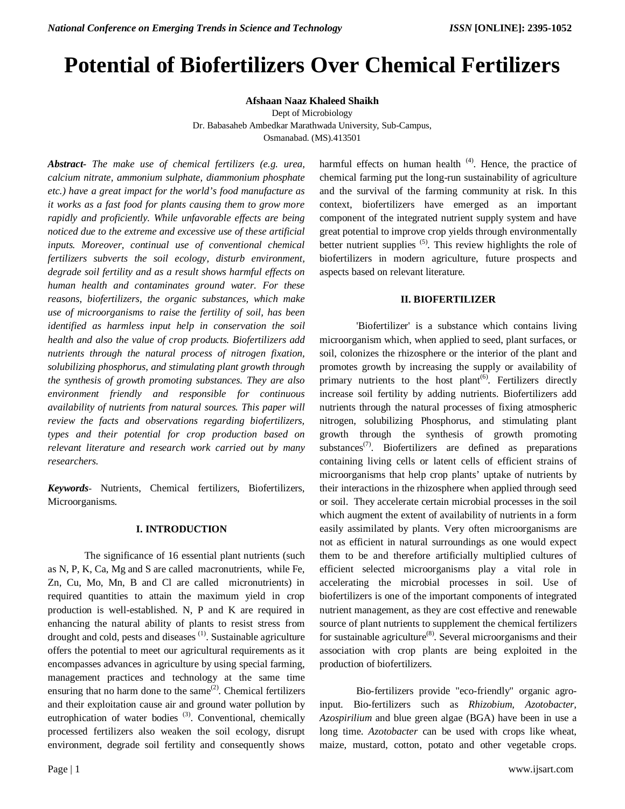# **Potential of Biofertilizers Over Chemical Fertilizers**

**Afshaan Naaz Khaleed Shaikh**

Dept of Microbiology

Dr. Babasaheb Ambedkar Marathwada University, Sub-Campus, Osmanabad. (MS).413501

*Abstract- The make use of chemical fertilizers (e.g. urea, calcium nitrate, ammonium sulphate, diammonium phosphate etc.) have a great impact for the world's food manufacture as it works as a fast food for plants causing them to grow more rapidly and proficiently. While unfavorable effects are being noticed due to the extreme and excessive use of these artificial inputs. Moreover, continual use of conventional chemical fertilizers subverts the soil ecology, disturb environment, degrade soil fertility and as a result shows harmful effects on human health and contaminates ground water. For these reasons, biofertilizers, the organic substances, which make use of microorganisms to raise the fertility of soil, has been identified as harmless input help in conservation the soil health and also the value of crop products. Biofertilizers add nutrients through the natural process of nitrogen fixation, solubilizing phosphorus, and stimulating plant growth through the synthesis of growth promoting substances. They are also environment friendly and responsible for continuous availability of nutrients from natural sources. This paper will review the facts and observations regarding biofertilizers, types and their potential for crop production based on relevant literature and research work carried out by many researchers.*

*Keywords-* Nutrients, Chemical fertilizers, Biofertilizers, Microorganisms.

# **I. INTRODUCTION**

The significance of 16 essential plant nutrients (such as N, P, K, Ca, Mg and S are called macronutrients, while Fe, Zn, Cu, Mo, Mn, B and Cl are called micronutrients) in required quantities to attain the maximum yield in crop production is well-established. N, P and K are required in enhancing the natural ability of plants to resist stress from drought and cold, pests and diseases<sup>(1)</sup>. Sustainable agriculture offers the potential to meet our agricultural requirements as it encompasses advances in agriculture by using special farming, management practices and technology at the same time ensuring that no harm done to the same $^{(2)}$ . Chemical fertilizers and their exploitation cause air and ground water pollution by eutrophication of water bodies<sup>(3)</sup>. Conventional, chemically processed fertilizers also weaken the soil ecology, disrupt environment, degrade soil fertility and consequently shows

harmful effects on human health<sup>(4)</sup>. Hence, the practice of chemical farming put the long-run sustainability of agriculture and the survival of the farming community at risk. In this context, biofertilizers have emerged as an important component of the integrated nutrient supply system and have great potential to improve crop yields through environmentally better nutrient supplies  $(5)$ . This review highlights the role of biofertilizers in modern agriculture, future prospects and aspects based on relevant literature.

## **II. BIOFERTILIZER**

'Biofertilizer' is a substance which contains living microorganism which, when applied to seed, plant surfaces, or soil, colonizes the rhizosphere or the interior of the plant and promotes growth by increasing the supply or availability of primary nutrients to the host plant<sup>(6)</sup>. Fertilizers directly increase soil fertility by adding nutrients. Biofertilizers add nutrients through the natural processes of fixing atmospheric nitrogen, solubilizing Phosphorus, and stimulating plant growth through the synthesis of growth promoting substances<sup> $(7)$ </sup>. Biofertilizers are defined as preparations containing living cells or latent cells of efficient strains of microorganisms that help crop plants' uptake of nutrients by their interactions in the rhizosphere when applied through seed or soil. They accelerate certain microbial processes in the soil which augment the extent of availability of nutrients in a form easily assimilated by plants. Very often microorganisms are not as efficient in natural surroundings as one would expect them to be and therefore artificially multiplied cultures of efficient selected microorganisms play a vital role in accelerating the microbial processes in soil. Use of biofertilizers is one of the important components of integrated nutrient management, as they are cost effective and renewable source of plant nutrients to supplement the chemical fertilizers for sustainable agriculture $^{(8)}$ . Several microorganisms and their association with crop plants are being exploited in the production of biofertilizers.

Bio-fertilizers provide "eco-friendly" organic agroinput. Bio-fertilizers such as *Rhizobium, Azotobacter, Azospirilium* and blue green algae (BGA) have been in use a long time. *Azotobacter* can be used with crops like wheat, maize, mustard, cotton, potato and other vegetable crops.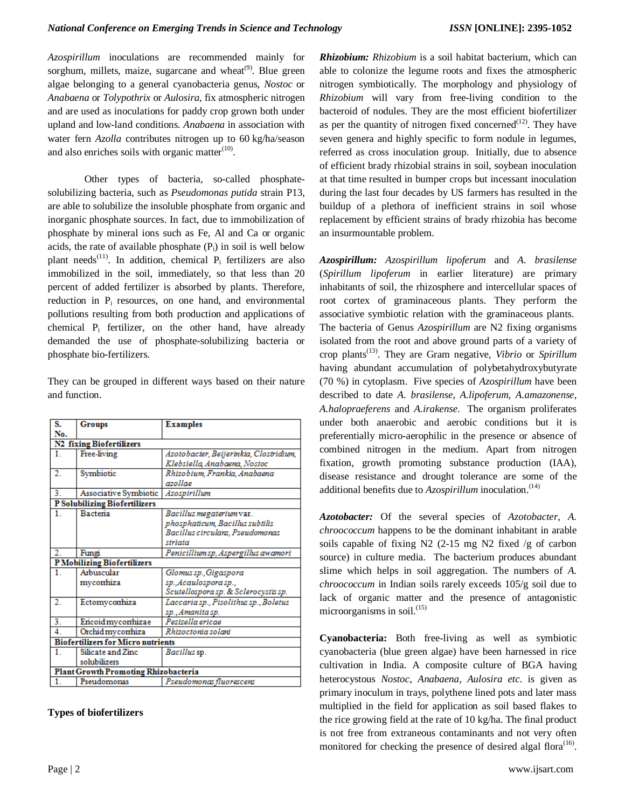*Azospirillum* inoculations are recommended mainly for sorghum, millets, maize, sugarcane and wheat<sup>(9)</sup>. Blue green algae belonging to a general cyanobacteria genus, *Nostoc* or *Anabaena* or *Tolypothrix* or *Aulosira*, fix atmospheric nitrogen and are used as inoculations for paddy crop grown both under upland and low-land conditions. *Anabaena* in association with water fern *Azolla* contributes nitrogen up to 60 kg/ha/season and also enriches soils with organic matter $(10)$ .

Other types of bacteria, so-called phosphatesolubilizing bacteria, such as *Pseudomonas putida* strain P13, are able to solubilize the insoluble phosphate from organic and inorganic phosphate sources. In fact, due to immobilization of phosphate by mineral ions such as Fe, Al and Ca or organic acids, the rate of available phosphate  $(P_i)$  in soil is well below plant needs<sup>(11)</sup>. In addition, chemical  $P_i$  fertilizers are also immobilized in the soil, immediately, so that less than 20 percent of added fertilizer is absorbed by plants. Therefore, reduction in P<sub>i</sub> resources, on one hand, and environmental pollutions resulting from both production and applications of chemical  $P_i$  fertilizer, on the other hand, have already demanded the use of phosphate-solubilizing bacteria or phosphate bio-fertilizers.

They can be grouped in different ways based on their nature and function.

| S.                                        | Groups                                      | <b>Examples</b>                        |
|-------------------------------------------|---------------------------------------------|----------------------------------------|
| No.                                       |                                             |                                        |
|                                           | <b>N2 fixing Biofertilizers</b>             |                                        |
| 1.                                        | Free-living                                 | Azotobacter, Beijerinkia, Clostridium, |
|                                           |                                             | Klebsiella, Anabaena, Nostoc           |
| 2.                                        | Symbiotic                                   | Rhizobium, Frankia, Anabaena           |
|                                           |                                             | azollae                                |
| 3.                                        | Associative Symbiotic                       | Azospirillum                           |
|                                           | <b>P Solubilizing Biofertilizers</b>        |                                        |
| 1.                                        | Bacteria                                    | Bacillus megaterium var.               |
|                                           |                                             | phosphaticum, Bacillus subtilis        |
|                                           |                                             | Bacillus circulans, Pseudomonas        |
|                                           |                                             | striata                                |
| 2.                                        | Fungi                                       | Penicilliumsp, Aspergillus awamori     |
|                                           | <b>PMobilizing Biofertilizers</b>           |                                        |
| 1.                                        | Arbuscular                                  | Glomus sp., Gigaspora                  |
|                                           | mycorrhiza                                  | sp., Acaulospora sp.,                  |
|                                           |                                             | Scutellospora sp. & Sclerocystis sp.   |
| 2.                                        | Ectomycorrhiza                              | Laccaria sp., Pisolithus sp., Boletus  |
|                                           |                                             | sp., Amanita sp.                       |
| 3.                                        | <b>Encoidmyconhizae</b>                     | Pezizella ericae                       |
| $\overline{4}$ .                          | Orchid mycorrhiza                           | Rhizoctonia solani                     |
| <b>Biofertilizers for Micro nutrients</b> |                                             |                                        |
| 1.                                        | Silicate and Zinc                           | Bacillus sp.                           |
|                                           | solubilizers                                |                                        |
|                                           | <b>Plant Growth Promoting Rhizobacteria</b> |                                        |
| 1.                                        | Pseudomonas                                 | Pseudomonas fluorescens                |
|                                           |                                             |                                        |

# **Types of biofertilizers**

*Rhizobium: Rhizobium* is a soil habitat bacterium, which can able to colonize the legume roots and fixes the atmospheric nitrogen symbiotically. The morphology and physiology of *Rhizobium* will vary from free-living condition to the bacteroid of nodules. They are the most efficient biofertilizer as per the quantity of nitrogen fixed concerned<sup> $(12)$ </sup>. They have seven genera and highly specific to form nodule in legumes, referred as cross inoculation group. Initially, due to absence of efficient brady rhizobial strains in soil, soybean inoculation at that time resulted in bumper crops but incessant inoculation during the last four decades by US farmers has resulted in the buildup of a plethora of inefficient strains in soil whose replacement by efficient strains of brady rhizobia has become an insurmountable problem.

*Azospirillum: Azospirillum lipoferum* and *A. brasilense* (*Spirillum lipoferum* in earlier literature) are primary inhabitants of soil, the rhizosphere and intercellular spaces of root cortex of graminaceous plants. They perform the associative symbiotic relation with the graminaceous plants. The bacteria of Genus *Azospirillum* are N2 fixing organisms isolated from the root and above ground parts of a variety of crop plants(13). They are Gram negative, *Vibrio* or *Spirillum*  having abundant accumulation of polybetahydroxybutyrate (70 %) in cytoplasm. Five species of *Azospirillum* have been described to date *A. brasilense*, *A.lipoferum*, *A.amazonense*, *A.halopraeferens* and *A.irakense*. The organism proliferates under both anaerobic and aerobic conditions but it is preferentially micro-aerophilic in the presence or absence of combined nitrogen in the medium. Apart from nitrogen fixation, growth promoting substance production (IAA), disease resistance and drought tolerance are some of the additional benefits due to *Azospirillum* inoculation.<sup>(14)</sup>

*Azotobacter:* Of the several species of *Azotobacter*, *A. chroococcum* happens to be the dominant inhabitant in arable soils capable of fixing N2 (2-15 mg N2 fixed /g of carbon source) in culture media. The bacterium produces abundant slime which helps in soil aggregation. The numbers of *A. chroococcum* in Indian soils rarely exceeds 105/g soil due to lack of organic matter and the presence of antagonistic microorganisms in soil. $^{(15)}$ 

**Cyanobacteria:** Both free-living as well as symbiotic cyanobacteria (blue green algae) have been harnessed in rice cultivation in India. A composite culture of BGA having heterocystous *Nostoc*, *Anabaena*, *Aulosira etc*. is given as primary inoculum in trays, polythene lined pots and later mass multiplied in the field for application as soil based flakes to the rice growing field at the rate of 10 kg/ha. The final product is not free from extraneous contaminants and not very often monitored for checking the presence of desired algal flora $(16)$ .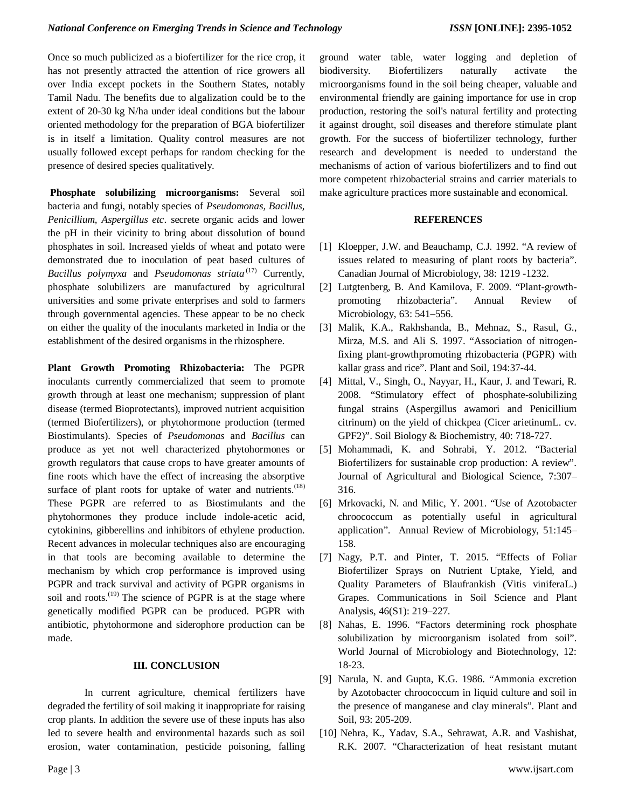Once so much publicized as a biofertilizer for the rice crop, it has not presently attracted the attention of rice growers all over India except pockets in the Southern States, notably Tamil Nadu. The benefits due to algalization could be to the extent of 20-30 kg N/ha under ideal conditions but the labour oriented methodology for the preparation of BGA biofertilizer is in itself a limitation. Quality control measures are not usually followed except perhaps for random checking for the presence of desired species qualitatively.

**Phosphate solubilizing microorganisms:** Several soil bacteria and fungi, notably species of *Pseudomonas, Bacillus, Penicillium, Aspergillus etc*. secrete organic acids and lower the pH in their vicinity to bring about dissolution of bound phosphates in soil. Increased yields of wheat and potato were demonstrated due to inoculation of peat based cultures of *Bacillus polymyxa* and *Pseudomonas striata*<sup>(17)</sup> Currently, phosphate solubilizers are manufactured by agricultural universities and some private enterprises and sold to farmers through governmental agencies. These appear to be no check on either the quality of the inoculants marketed in India or the establishment of the desired organisms in the rhizosphere.

**Plant Growth Promoting Rhizobacteria:** The PGPR inoculants currently commercialized that seem to promote growth through at least one mechanism; suppression of plant disease (termed Bioprotectants), improved nutrient acquisition (termed Biofertilizers), or phytohormone production (termed Biostimulants). Species of *Pseudomonas* and *Bacillus* can produce as yet not well characterized phytohormones or growth regulators that cause crops to have greater amounts of fine roots which have the effect of increasing the absorptive surface of plant roots for uptake of water and nutrients. $(18)$ These PGPR are referred to as Biostimulants and the phytohormones they produce include indole-acetic acid, cytokinins, gibberellins and inhibitors of ethylene production. Recent advances in molecular techniques also are encouraging in that tools are becoming available to determine the mechanism by which crop performance is improved using PGPR and track survival and activity of PGPR organisms in soil and roots.<sup>(19)</sup> The science of PGPR is at the stage where genetically modified PGPR can be produced. PGPR with antibiotic, phytohormone and siderophore production can be made.

#### **III. CONCLUSION**

In current agriculture, chemical fertilizers have degraded the fertility of soil making it inappropriate for raising crop plants. In addition the severe use of these inputs has also led to severe health and environmental hazards such as soil erosion, water contamination, pesticide poisoning, falling

ground water table, water logging and depletion of biodiversity. Biofertilizers naturally activate the microorganisms found in the soil being cheaper, valuable and environmental friendly are gaining importance for use in crop production, restoring the soil's natural fertility and protecting it against drought, soil diseases and therefore stimulate plant growth. For the success of biofertilizer technology, further research and development is needed to understand the mechanisms of action of various biofertilizers and to find out more competent rhizobacterial strains and carrier materials to make agriculture practices more sustainable and economical.

## **REFERENCES**

- [1] Kloepper, J.W. and Beauchamp, C.J. 1992. "A review of issues related to measuring of plant roots by bacteria". Canadian Journal of Microbiology, 38: 1219 -1232.
- [2] Lutgtenberg, B. And Kamilova, F. 2009. "Plant-growthpromoting rhizobacteria". Annual Review of Microbiology, 63: 541–556.
- [3] Malik, K.A., Rakhshanda, B., Mehnaz, S., Rasul, G., Mirza, M.S. and Ali S. 1997. "Association of nitrogenfixing plant-growthpromoting rhizobacteria (PGPR) with kallar grass and rice". Plant and Soil, 194:37-44.
- [4] Mittal, V., Singh, O., Nayyar, H., Kaur, J. and Tewari, R. 2008. "Stimulatory effect of phosphate-solubilizing fungal strains (Aspergillus awamori and Penicillium citrinum) on the yield of chickpea (Cicer arietinumL. cv. GPF2)". Soil Biology & Biochemistry, 40: 718-727.
- [5] Mohammadi, K. and Sohrabi, Y. 2012. "Bacterial Biofertilizers for sustainable crop production: A review". Journal of Agricultural and Biological Science, 7:307– 316.
- [6] Mrkovacki, N. and Milic, Y. 2001. "Use of Azotobacter chroococcum as potentially useful in agricultural application". Annual Review of Microbiology, 51:145– 158.
- [7] Nagy, P.T. and Pinter, T. 2015. "Effects of Foliar Biofertilizer Sprays on Nutrient Uptake, Yield, and Quality Parameters of Blaufrankish (Vitis viniferaL.) Grapes. Communications in Soil Science and Plant Analysis, 46(S1): 219–227.
- [8] Nahas, E. 1996. "Factors determining rock phosphate solubilization by microorganism isolated from soil". World Journal of Microbiology and Biotechnology, 12: 18-23.
- [9] Narula, N. and Gupta, K.G. 1986. "Ammonia excretion by Azotobacter chroococcum in liquid culture and soil in the presence of manganese and clay minerals". Plant and Soil, 93: 205-209.
- [10] Nehra, K., Yadav, S.A., Sehrawat, A.R. and Vashishat, R.K. 2007. "Characterization of heat resistant mutant